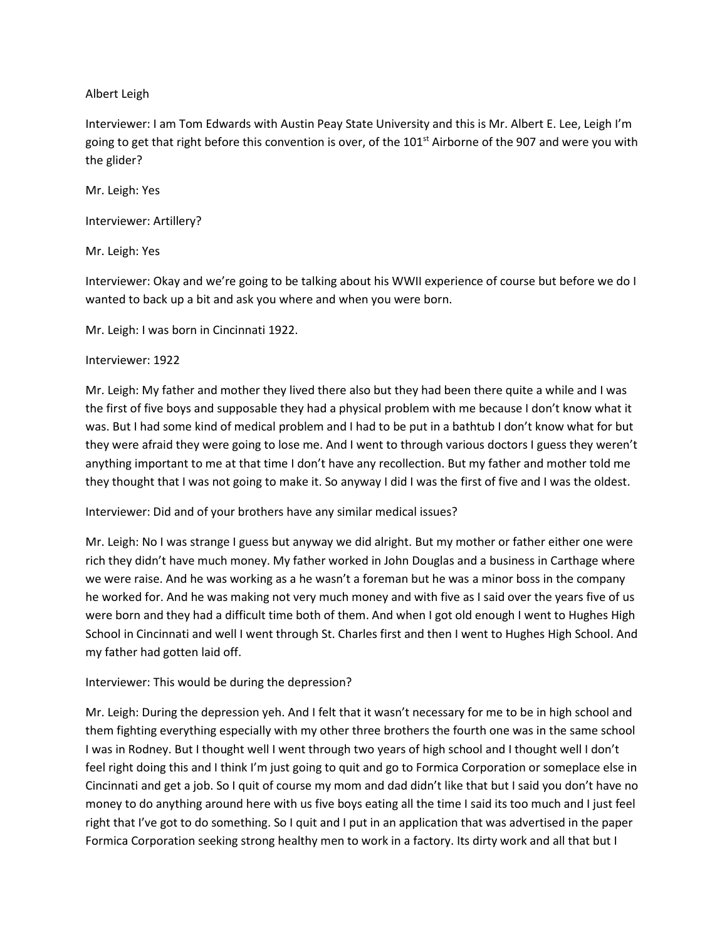## Albert Leigh

Interviewer: I am Tom Edwards with Austin Peay State University and this is Mr. Albert E. Lee, Leigh I'm going to get that right before this convention is over, of the 101<sup>st</sup> Airborne of the 907 and were you with the glider?

Mr. Leigh: Yes

Interviewer: Artillery?

Mr. Leigh: Yes

Interviewer: Okay and we're going to be talking about his WWII experience of course but before we do I wanted to back up a bit and ask you where and when you were born.

Mr. Leigh: I was born in Cincinnati 1922.

### Interviewer: 1922

Mr. Leigh: My father and mother they lived there also but they had been there quite a while and I was the first of five boys and supposable they had a physical problem with me because I don't know what it was. But I had some kind of medical problem and I had to be put in a bathtub I don't know what for but they were afraid they were going to lose me. And I went to through various doctors I guess they weren't anything important to me at that time I don't have any recollection. But my father and mother told me they thought that I was not going to make it. So anyway I did I was the first of five and I was the oldest.

# Interviewer: Did and of your brothers have any similar medical issues?

Mr. Leigh: No I was strange I guess but anyway we did alright. But my mother or father either one were rich they didn't have much money. My father worked in John Douglas and a business in Carthage where we were raise. And he was working as a he wasn't a foreman but he was a minor boss in the company he worked for. And he was making not very much money and with five as I said over the years five of us were born and they had a difficult time both of them. And when I got old enough I went to Hughes High School in Cincinnati and well I went through St. Charles first and then I went to Hughes High School. And my father had gotten laid off.

# Interviewer: This would be during the depression?

Mr. Leigh: During the depression yeh. And I felt that it wasn't necessary for me to be in high school and them fighting everything especially with my other three brothers the fourth one was in the same school I was in Rodney. But I thought well I went through two years of high school and I thought well I don't feel right doing this and I think I'm just going to quit and go to Formica Corporation or someplace else in Cincinnati and get a job. So I quit of course my mom and dad didn't like that but I said you don't have no money to do anything around here with us five boys eating all the time I said its too much and I just feel right that I've got to do something. So I quit and I put in an application that was advertised in the paper Formica Corporation seeking strong healthy men to work in a factory. Its dirty work and all that but I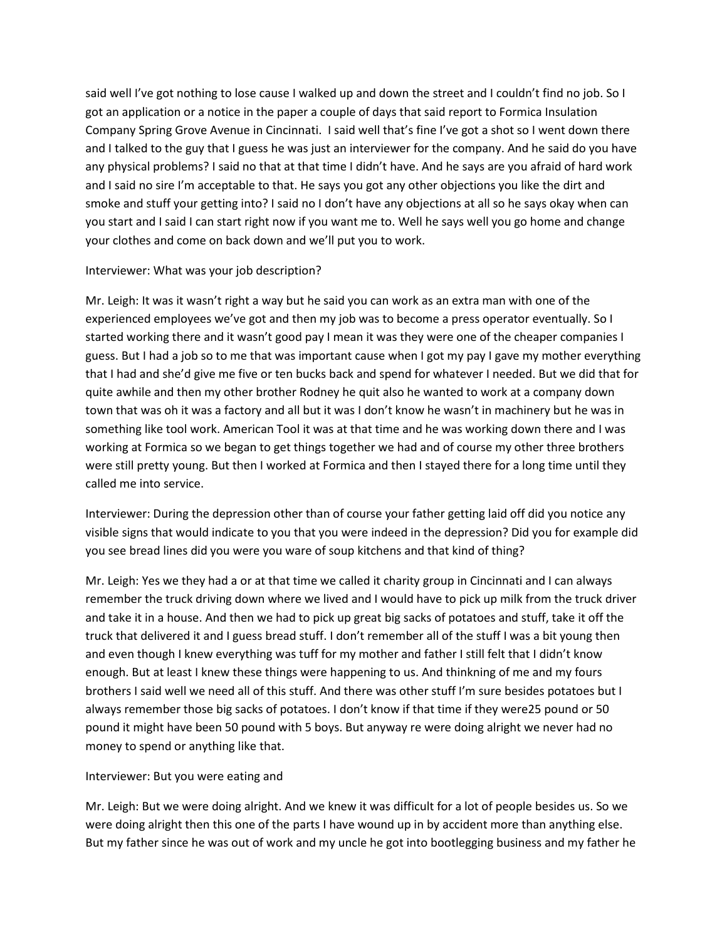said well I've got nothing to lose cause I walked up and down the street and I couldn't find no job. So I got an application or a notice in the paper a couple of days that said report to Formica Insulation Company Spring Grove Avenue in Cincinnati. I said well that's fine I've got a shot so I went down there and I talked to the guy that I guess he was just an interviewer for the company. And he said do you have any physical problems? I said no that at that time I didn't have. And he says are you afraid of hard work and I said no sire I'm acceptable to that. He says you got any other objections you like the dirt and smoke and stuff your getting into? I said no I don't have any objections at all so he says okay when can you start and I said I can start right now if you want me to. Well he says well you go home and change your clothes and come on back down and we'll put you to work.

## Interviewer: What was your job description?

Mr. Leigh: It was it wasn't right a way but he said you can work as an extra man with one of the experienced employees we've got and then my job was to become a press operator eventually. So I started working there and it wasn't good pay I mean it was they were one of the cheaper companies I guess. But I had a job so to me that was important cause when I got my pay I gave my mother everything that I had and she'd give me five or ten bucks back and spend for whatever I needed. But we did that for quite awhile and then my other brother Rodney he quit also he wanted to work at a company down town that was oh it was a factory and all but it was I don't know he wasn't in machinery but he was in something like tool work. American Tool it was at that time and he was working down there and I was working at Formica so we began to get things together we had and of course my other three brothers were still pretty young. But then I worked at Formica and then I stayed there for a long time until they called me into service.

Interviewer: During the depression other than of course your father getting laid off did you notice any visible signs that would indicate to you that you were indeed in the depression? Did you for example did you see bread lines did you were you ware of soup kitchens and that kind of thing?

Mr. Leigh: Yes we they had a or at that time we called it charity group in Cincinnati and I can always remember the truck driving down where we lived and I would have to pick up milk from the truck driver and take it in a house. And then we had to pick up great big sacks of potatoes and stuff, take it off the truck that delivered it and I guess bread stuff. I don't remember all of the stuff I was a bit young then and even though I knew everything was tuff for my mother and father I still felt that I didn't know enough. But at least I knew these things were happening to us. And thinkning of me and my fours brothers I said well we need all of this stuff. And there was other stuff I'm sure besides potatoes but I always remember those big sacks of potatoes. I don't know if that time if they were25 pound or 50 pound it might have been 50 pound with 5 boys. But anyway re were doing alright we never had no money to spend or anything like that.

# Interviewer: But you were eating and

Mr. Leigh: But we were doing alright. And we knew it was difficult for a lot of people besides us. So we were doing alright then this one of the parts I have wound up in by accident more than anything else. But my father since he was out of work and my uncle he got into bootlegging business and my father he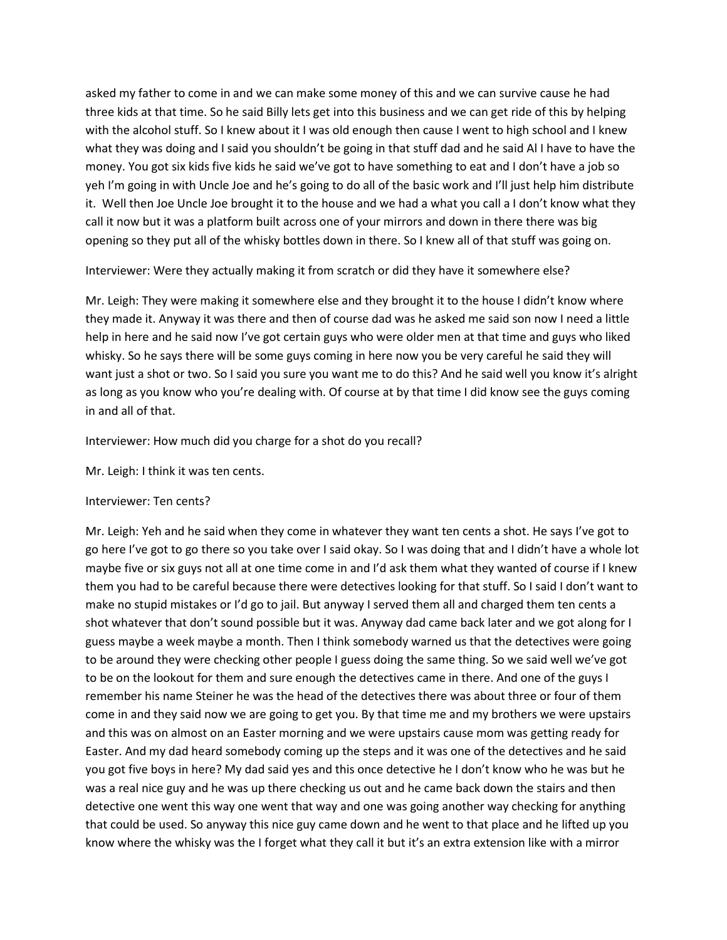asked my father to come in and we can make some money of this and we can survive cause he had three kids at that time. So he said Billy lets get into this business and we can get ride of this by helping with the alcohol stuff. So I knew about it I was old enough then cause I went to high school and I knew what they was doing and I said you shouldn't be going in that stuff dad and he said Al I have to have the money. You got six kids five kids he said we've got to have something to eat and I don't have a job so yeh I'm going in with Uncle Joe and he's going to do all of the basic work and I'll just help him distribute it. Well then Joe Uncle Joe brought it to the house and we had a what you call a I don't know what they call it now but it was a platform built across one of your mirrors and down in there there was big opening so they put all of the whisky bottles down in there. So I knew all of that stuff was going on.

Interviewer: Were they actually making it from scratch or did they have it somewhere else?

Mr. Leigh: They were making it somewhere else and they brought it to the house I didn't know where they made it. Anyway it was there and then of course dad was he asked me said son now I need a little help in here and he said now I've got certain guys who were older men at that time and guys who liked whisky. So he says there will be some guys coming in here now you be very careful he said they will want just a shot or two. So I said you sure you want me to do this? And he said well you know it's alright as long as you know who you're dealing with. Of course at by that time I did know see the guys coming in and all of that.

Interviewer: How much did you charge for a shot do you recall?

Mr. Leigh: I think it was ten cents.

### Interviewer: Ten cents?

Mr. Leigh: Yeh and he said when they come in whatever they want ten cents a shot. He says I've got to go here I've got to go there so you take over I said okay. So I was doing that and I didn't have a whole lot maybe five or six guys not all at one time come in and I'd ask them what they wanted of course if I knew them you had to be careful because there were detectives looking for that stuff. So I said I don't want to make no stupid mistakes or I'd go to jail. But anyway I served them all and charged them ten cents a shot whatever that don't sound possible but it was. Anyway dad came back later and we got along for I guess maybe a week maybe a month. Then I think somebody warned us that the detectives were going to be around they were checking other people I guess doing the same thing. So we said well we've got to be on the lookout for them and sure enough the detectives came in there. And one of the guys I remember his name Steiner he was the head of the detectives there was about three or four of them come in and they said now we are going to get you. By that time me and my brothers we were upstairs and this was on almost on an Easter morning and we were upstairs cause mom was getting ready for Easter. And my dad heard somebody coming up the steps and it was one of the detectives and he said you got five boys in here? My dad said yes and this once detective he I don't know who he was but he was a real nice guy and he was up there checking us out and he came back down the stairs and then detective one went this way one went that way and one was going another way checking for anything that could be used. So anyway this nice guy came down and he went to that place and he lifted up you know where the whisky was the I forget what they call it but it's an extra extension like with a mirror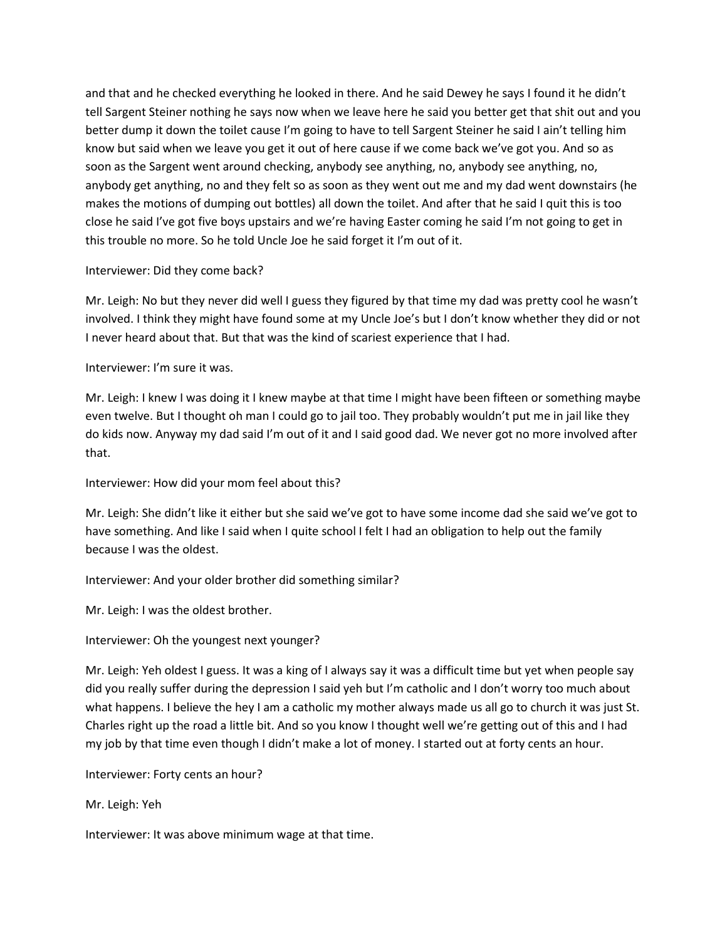and that and he checked everything he looked in there. And he said Dewey he says I found it he didn't tell Sargent Steiner nothing he says now when we leave here he said you better get that shit out and you better dump it down the toilet cause I'm going to have to tell Sargent Steiner he said I ain't telling him know but said when we leave you get it out of here cause if we come back we've got you. And so as soon as the Sargent went around checking, anybody see anything, no, anybody see anything, no, anybody get anything, no and they felt so as soon as they went out me and my dad went downstairs (he makes the motions of dumping out bottles) all down the toilet. And after that he said I quit this is too close he said I've got five boys upstairs and we're having Easter coming he said I'm not going to get in this trouble no more. So he told Uncle Joe he said forget it I'm out of it.

## Interviewer: Did they come back?

Mr. Leigh: No but they never did well I guess they figured by that time my dad was pretty cool he wasn't involved. I think they might have found some at my Uncle Joe's but I don't know whether they did or not I never heard about that. But that was the kind of scariest experience that I had.

## Interviewer: I'm sure it was.

Mr. Leigh: I knew I was doing it I knew maybe at that time I might have been fifteen or something maybe even twelve. But I thought oh man I could go to jail too. They probably wouldn't put me in jail like they do kids now. Anyway my dad said I'm out of it and I said good dad. We never got no more involved after that.

# Interviewer: How did your mom feel about this?

Mr. Leigh: She didn't like it either but she said we've got to have some income dad she said we've got to have something. And like I said when I quite school I felt I had an obligation to help out the family because I was the oldest.

# Interviewer: And your older brother did something similar?

Mr. Leigh: I was the oldest brother.

# Interviewer: Oh the youngest next younger?

Mr. Leigh: Yeh oldest I guess. It was a king of I always say it was a difficult time but yet when people say did you really suffer during the depression I said yeh but I'm catholic and I don't worry too much about what happens. I believe the hey I am a catholic my mother always made us all go to church it was just St. Charles right up the road a little bit. And so you know I thought well we're getting out of this and I had my job by that time even though I didn't make a lot of money. I started out at forty cents an hour.

Interviewer: Forty cents an hour?

Mr. Leigh: Yeh

Interviewer: It was above minimum wage at that time.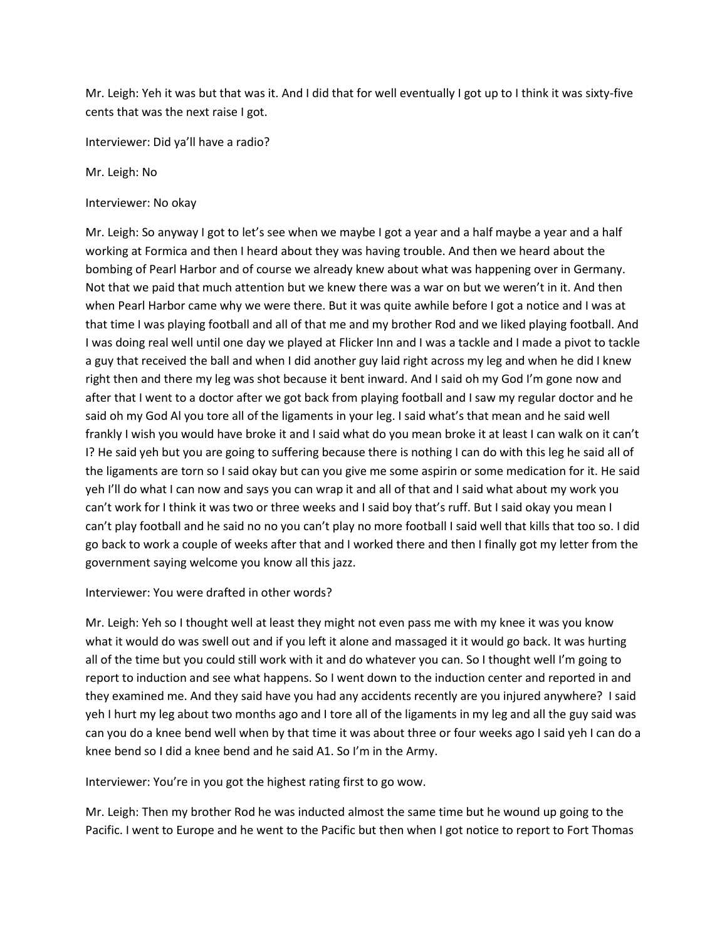Mr. Leigh: Yeh it was but that was it. And I did that for well eventually I got up to I think it was sixty-five cents that was the next raise I got.

Interviewer: Did ya'll have a radio?

Mr. Leigh: No

Interviewer: No okay

Mr. Leigh: So anyway I got to let's see when we maybe I got a year and a half maybe a year and a half working at Formica and then I heard about they was having trouble. And then we heard about the bombing of Pearl Harbor and of course we already knew about what was happening over in Germany. Not that we paid that much attention but we knew there was a war on but we weren't in it. And then when Pearl Harbor came why we were there. But it was quite awhile before I got a notice and I was at that time I was playing football and all of that me and my brother Rod and we liked playing football. And I was doing real well until one day we played at Flicker Inn and I was a tackle and I made a pivot to tackle a guy that received the ball and when I did another guy laid right across my leg and when he did I knew right then and there my leg was shot because it bent inward. And I said oh my God I'm gone now and after that I went to a doctor after we got back from playing football and I saw my regular doctor and he said oh my God Al you tore all of the ligaments in your leg. I said what's that mean and he said well frankly I wish you would have broke it and I said what do you mean broke it at least I can walk on it can't I? He said yeh but you are going to suffering because there is nothing I can do with this leg he said all of the ligaments are torn so I said okay but can you give me some aspirin or some medication for it. He said yeh I'll do what I can now and says you can wrap it and all of that and I said what about my work you can't work for I think it was two or three weeks and I said boy that's ruff. But I said okay you mean I can't play football and he said no no you can't play no more football I said well that kills that too so. I did go back to work a couple of weeks after that and I worked there and then I finally got my letter from the government saying welcome you know all this jazz.

Interviewer: You were drafted in other words?

Mr. Leigh: Yeh so I thought well at least they might not even pass me with my knee it was you know what it would do was swell out and if you left it alone and massaged it it would go back. It was hurting all of the time but you could still work with it and do whatever you can. So I thought well I'm going to report to induction and see what happens. So I went down to the induction center and reported in and they examined me. And they said have you had any accidents recently are you injured anywhere? I said yeh I hurt my leg about two months ago and I tore all of the ligaments in my leg and all the guy said was can you do a knee bend well when by that time it was about three or four weeks ago I said yeh I can do a knee bend so I did a knee bend and he said A1. So I'm in the Army.

Interviewer: You're in you got the highest rating first to go wow.

Mr. Leigh: Then my brother Rod he was inducted almost the same time but he wound up going to the Pacific. I went to Europe and he went to the Pacific but then when I got notice to report to Fort Thomas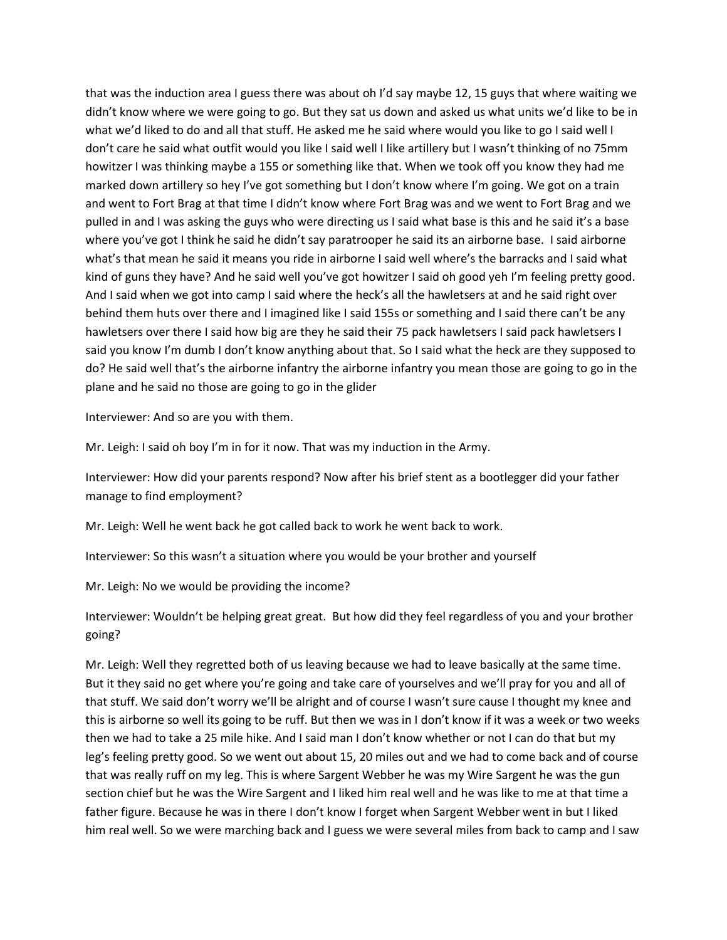that was the induction area I guess there was about oh I'd say maybe 12, 15 guys that where waiting we didn't know where we were going to go. But they sat us down and asked us what units we'd like to be in what we'd liked to do and all that stuff. He asked me he said where would you like to go I said well I don't care he said what outfit would you like I said well I like artillery but I wasn't thinking of no 75mm howitzer I was thinking maybe a 155 or something like that. When we took off you know they had me marked down artillery so hey I've got something but I don't know where I'm going. We got on a train and went to Fort Brag at that time I didn't know where Fort Brag was and we went to Fort Brag and we pulled in and I was asking the guys who were directing us I said what base is this and he said it's a base where you've got I think he said he didn't say paratrooper he said its an airborne base. I said airborne what's that mean he said it means you ride in airborne I said well where's the barracks and I said what kind of guns they have? And he said well you've got howitzer I said oh good yeh I'm feeling pretty good. And I said when we got into camp I said where the heck's all the hawletsers at and he said right over behind them huts over there and I imagined like I said 155s or something and I said there can't be any hawletsers over there I said how big are they he said their 75 pack hawletsers I said pack hawletsers I said you know I'm dumb I don't know anything about that. So I said what the heck are they supposed to do? He said well that's the airborne infantry the airborne infantry you mean those are going to go in the plane and he said no those are going to go in the glider

Interviewer: And so are you with them.

Mr. Leigh: I said oh boy I'm in for it now. That was my induction in the Army.

Interviewer: How did your parents respond? Now after his brief stent as a bootlegger did your father manage to find employment?

Mr. Leigh: Well he went back he got called back to work he went back to work.

Interviewer: So this wasn't a situation where you would be your brother and yourself

Mr. Leigh: No we would be providing the income?

Interviewer: Wouldn't be helping great great. But how did they feel regardless of you and your brother going?

Mr. Leigh: Well they regretted both of us leaving because we had to leave basically at the same time. But it they said no get where you're going and take care of yourselves and we'll pray for you and all of that stuff. We said don't worry we'll be alright and of course I wasn't sure cause I thought my knee and this is airborne so well its going to be ruff. But then we was in I don't know if it was a week or two weeks then we had to take a 25 mile hike. And I said man I don't know whether or not I can do that but my leg's feeling pretty good. So we went out about 15, 20 miles out and we had to come back and of course that was really ruff on my leg. This is where Sargent Webber he was my Wire Sargent he was the gun section chief but he was the Wire Sargent and I liked him real well and he was like to me at that time a father figure. Because he was in there I don't know I forget when Sargent Webber went in but I liked him real well. So we were marching back and I guess we were several miles from back to camp and I saw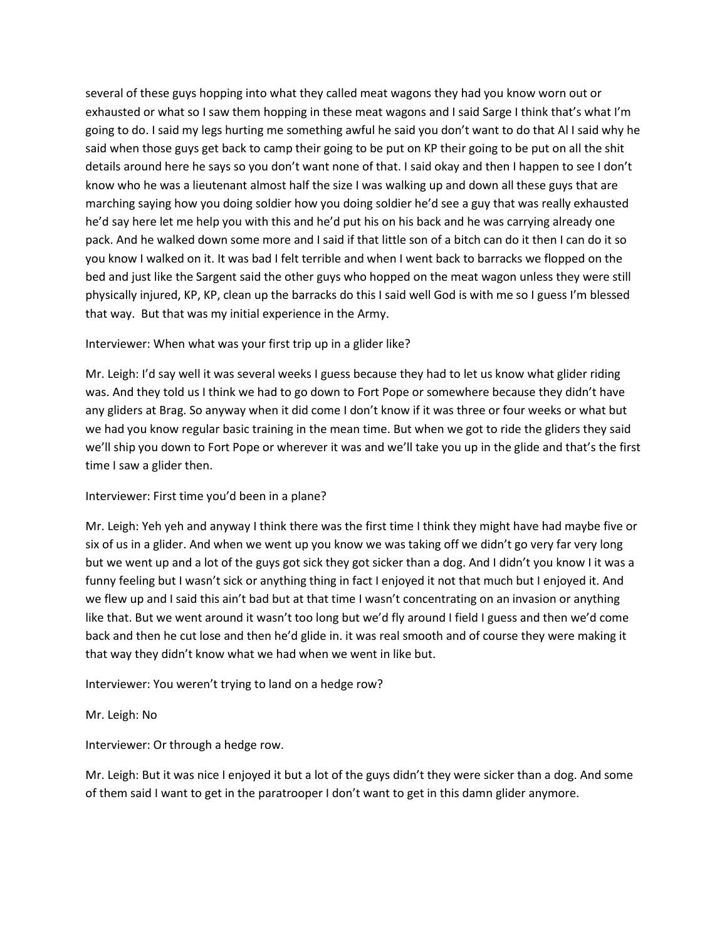several of these guys hopping into what they called meat wagons they had you know worn out or exhausted or what so I saw them hopping in these meat wagons and I said Sarge I think that's what I'm going to do. I said my legs hurting me something awful he said you don't want to do that Al I said why he said when those guys get back to camp their going to be put on KP their going to be put on all the shit details around here he says so you don't want none of that. I said okay and then I happen to see I don't know who he was a lieutenant almost half the size I was walking up and down all these guys that are marching saying how you doing soldier how you doing soldier he'd see a guy that was really exhausted he'd say here let me help you with this and he'd put his on his back and he was carrying already one pack. And he walked down some more and I said if that little son of a bitch can do it then I can do it so you know I walked on it. It was bad I felt terrible and when I went back to barracks we flopped on the bed and just like the Sargent said the other guys who hopped on the meat wagon unless they were still physically injured, KP, KP, clean up the barracks do this I said well God is with me so I guess I'm blessed that way. But that was my initial experience in the Army.

### Interviewer: When what was your first trip up in a glider like?

Mr. Leigh: I'd say well it was several weeks I guess because they had to let us know what glider riding was. And they told us I think we had to go down to Fort Pope or somewhere because they didn't have any gliders at Brag. So anyway when it did come I don't know if it was three or four weeks or what but we had you know regular basic training in the mean time. But when we got to ride the gliders they said we'll ship you down to Fort Pope or wherever it was and we'll take you up in the glide and that's the first time I saw a glider then.

### Interviewer: First time you'd been in a plane?

Mr. Leigh: Yeh yeh and anyway I think there was the first time I think they might have had maybe five or six of us in a glider. And when we went up you know we was taking off we didn't go very far very long but we went up and a lot of the guys got sick they got sicker than a dog. And I didn't you know I it was a funny feeling but I wasn't sick or anything thing in fact I enjoyed it not that much but I enjoyed it. And we flew up and I said this ain't bad but at that time I wasn't concentrating on an invasion or anything like that. But we went around it wasn't too long but we'd fly around I field I guess and then we'd come back and then he cut lose and then he'd glide in. it was real smooth and of course they were making it that way they didn't know what we had when we went in like but.

Interviewer: You weren't trying to land on a hedge row?

### Mr. Leigh: No

Interviewer: Or through a hedge row.

Mr. Leigh: But it was nice I enjoyed it but a lot of the guys didn't they were sicker than a dog. And some of them said I want to get in the paratrooper I don't want to get in this damn glider anymore.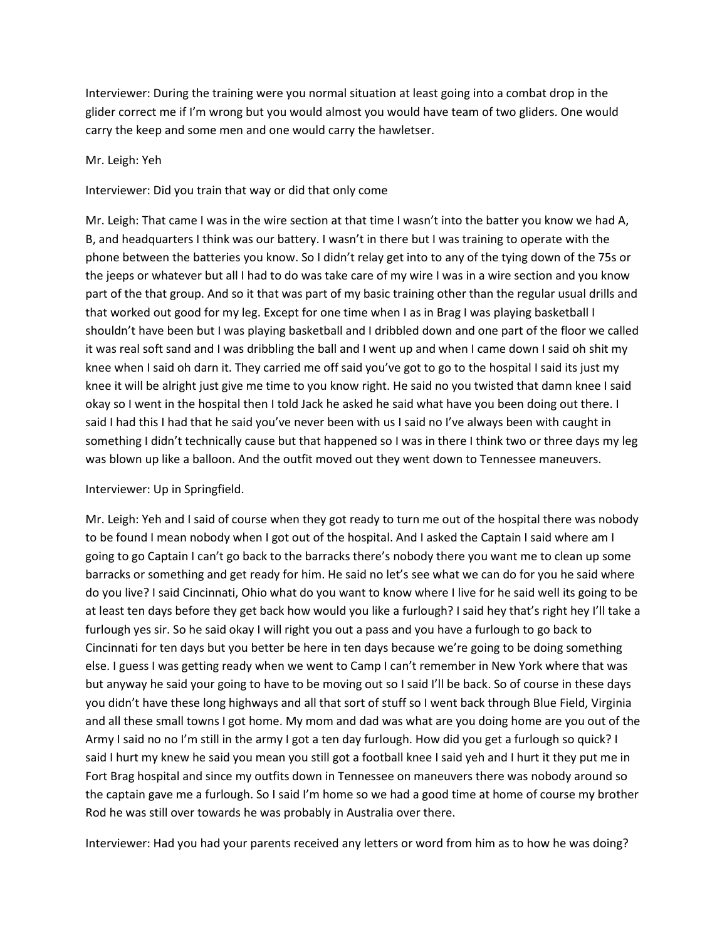Interviewer: During the training were you normal situation at least going into a combat drop in the glider correct me if I'm wrong but you would almost you would have team of two gliders. One would carry the keep and some men and one would carry the hawletser.

#### Mr. Leigh: Yeh

Interviewer: Did you train that way or did that only come

Mr. Leigh: That came I was in the wire section at that time I wasn't into the batter you know we had A, B, and headquarters I think was our battery. I wasn't in there but I was training to operate with the phone between the batteries you know. So I didn't relay get into to any of the tying down of the 75s or the jeeps or whatever but all I had to do was take care of my wire I was in a wire section and you know part of the that group. And so it that was part of my basic training other than the regular usual drills and that worked out good for my leg. Except for one time when I as in Brag I was playing basketball I shouldn't have been but I was playing basketball and I dribbled down and one part of the floor we called it was real soft sand and I was dribbling the ball and I went up and when I came down I said oh shit my knee when I said oh darn it. They carried me off said you've got to go to the hospital I said its just my knee it will be alright just give me time to you know right. He said no you twisted that damn knee I said okay so I went in the hospital then I told Jack he asked he said what have you been doing out there. I said I had this I had that he said you've never been with us I said no I've always been with caught in something I didn't technically cause but that happened so I was in there I think two or three days my leg was blown up like a balloon. And the outfit moved out they went down to Tennessee maneuvers.

### Interviewer: Up in Springfield.

Mr. Leigh: Yeh and I said of course when they got ready to turn me out of the hospital there was nobody to be found I mean nobody when I got out of the hospital. And I asked the Captain I said where am I going to go Captain I can't go back to the barracks there's nobody there you want me to clean up some barracks or something and get ready for him. He said no let's see what we can do for you he said where do you live? I said Cincinnati, Ohio what do you want to know where I live for he said well its going to be at least ten days before they get back how would you like a furlough? I said hey that's right hey I'll take a furlough yes sir. So he said okay I will right you out a pass and you have a furlough to go back to Cincinnati for ten days but you better be here in ten days because we're going to be doing something else. I guess I was getting ready when we went to Camp I can't remember in New York where that was but anyway he said your going to have to be moving out so I said I'll be back. So of course in these days you didn't have these long highways and all that sort of stuff so I went back through Blue Field, Virginia and all these small towns I got home. My mom and dad was what are you doing home are you out of the Army I said no no I'm still in the army I got a ten day furlough. How did you get a furlough so quick? I said I hurt my knew he said you mean you still got a football knee I said yeh and I hurt it they put me in Fort Brag hospital and since my outfits down in Tennessee on maneuvers there was nobody around so the captain gave me a furlough. So I said I'm home so we had a good time at home of course my brother Rod he was still over towards he was probably in Australia over there.

Interviewer: Had you had your parents received any letters or word from him as to how he was doing?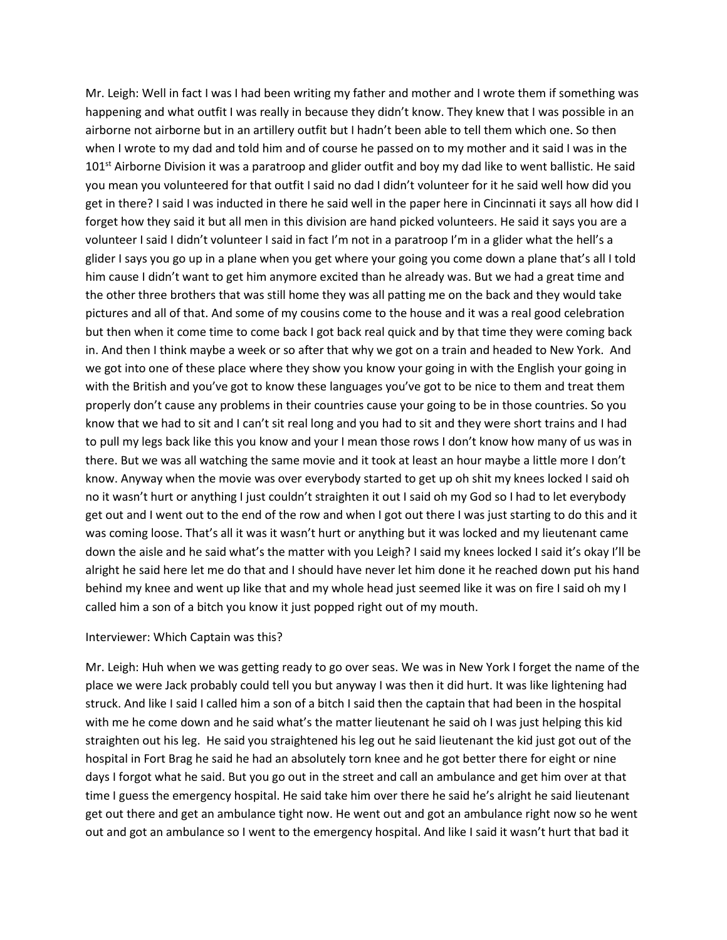Mr. Leigh: Well in fact I was I had been writing my father and mother and I wrote them if something was happening and what outfit I was really in because they didn't know. They knew that I was possible in an airborne not airborne but in an artillery outfit but I hadn't been able to tell them which one. So then when I wrote to my dad and told him and of course he passed on to my mother and it said I was in the  $101$ <sup>st</sup> Airborne Division it was a paratroop and glider outfit and boy my dad like to went ballistic. He said you mean you volunteered for that outfit I said no dad I didn't volunteer for it he said well how did you get in there? I said I was inducted in there he said well in the paper here in Cincinnati it says all how did I forget how they said it but all men in this division are hand picked volunteers. He said it says you are a volunteer I said I didn't volunteer I said in fact I'm not in a paratroop I'm in a glider what the hell's a glider I says you go up in a plane when you get where your going you come down a plane that's all I told him cause I didn't want to get him anymore excited than he already was. But we had a great time and the other three brothers that was still home they was all patting me on the back and they would take pictures and all of that. And some of my cousins come to the house and it was a real good celebration but then when it come time to come back I got back real quick and by that time they were coming back in. And then I think maybe a week or so after that why we got on a train and headed to New York. And we got into one of these place where they show you know your going in with the English your going in with the British and you've got to know these languages you've got to be nice to them and treat them properly don't cause any problems in their countries cause your going to be in those countries. So you know that we had to sit and I can't sit real long and you had to sit and they were short trains and I had to pull my legs back like this you know and your I mean those rows I don't know how many of us was in there. But we was all watching the same movie and it took at least an hour maybe a little more I don't know. Anyway when the movie was over everybody started to get up oh shit my knees locked I said oh no it wasn't hurt or anything I just couldn't straighten it out I said oh my God so I had to let everybody get out and I went out to the end of the row and when I got out there I was just starting to do this and it was coming loose. That's all it was it wasn't hurt or anything but it was locked and my lieutenant came down the aisle and he said what's the matter with you Leigh? I said my knees locked I said it's okay I'll be alright he said here let me do that and I should have never let him done it he reached down put his hand behind my knee and went up like that and my whole head just seemed like it was on fire I said oh my I called him a son of a bitch you know it just popped right out of my mouth.

#### Interviewer: Which Captain was this?

Mr. Leigh: Huh when we was getting ready to go over seas. We was in New York I forget the name of the place we were Jack probably could tell you but anyway I was then it did hurt. It was like lightening had struck. And like I said I called him a son of a bitch I said then the captain that had been in the hospital with me he come down and he said what's the matter lieutenant he said oh I was just helping this kid straighten out his leg. He said you straightened his leg out he said lieutenant the kid just got out of the hospital in Fort Brag he said he had an absolutely torn knee and he got better there for eight or nine days I forgot what he said. But you go out in the street and call an ambulance and get him over at that time I guess the emergency hospital. He said take him over there he said he's alright he said lieutenant get out there and get an ambulance tight now. He went out and got an ambulance right now so he went out and got an ambulance so I went to the emergency hospital. And like I said it wasn't hurt that bad it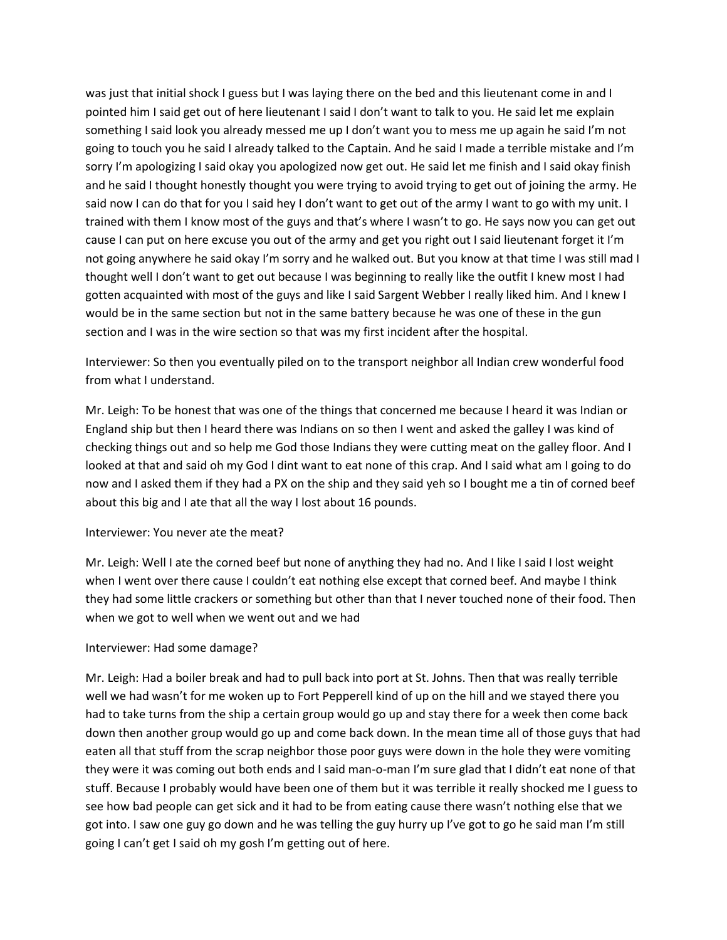was just that initial shock I guess but I was laying there on the bed and this lieutenant come in and I pointed him I said get out of here lieutenant I said I don't want to talk to you. He said let me explain something I said look you already messed me up I don't want you to mess me up again he said I'm not going to touch you he said I already talked to the Captain. And he said I made a terrible mistake and I'm sorry I'm apologizing I said okay you apologized now get out. He said let me finish and I said okay finish and he said I thought honestly thought you were trying to avoid trying to get out of joining the army. He said now I can do that for you I said hey I don't want to get out of the army I want to go with my unit. I trained with them I know most of the guys and that's where I wasn't to go. He says now you can get out cause I can put on here excuse you out of the army and get you right out I said lieutenant forget it I'm not going anywhere he said okay I'm sorry and he walked out. But you know at that time I was still mad I thought well I don't want to get out because I was beginning to really like the outfit I knew most I had gotten acquainted with most of the guys and like I said Sargent Webber I really liked him. And I knew I would be in the same section but not in the same battery because he was one of these in the gun section and I was in the wire section so that was my first incident after the hospital.

Interviewer: So then you eventually piled on to the transport neighbor all Indian crew wonderful food from what I understand.

Mr. Leigh: To be honest that was one of the things that concerned me because I heard it was Indian or England ship but then I heard there was Indians on so then I went and asked the galley I was kind of checking things out and so help me God those Indians they were cutting meat on the galley floor. And I looked at that and said oh my God I dint want to eat none of this crap. And I said what am I going to do now and I asked them if they had a PX on the ship and they said yeh so I bought me a tin of corned beef about this big and I ate that all the way I lost about 16 pounds.

### Interviewer: You never ate the meat?

Mr. Leigh: Well I ate the corned beef but none of anything they had no. And I like I said I lost weight when I went over there cause I couldn't eat nothing else except that corned beef. And maybe I think they had some little crackers or something but other than that I never touched none of their food. Then when we got to well when we went out and we had

### Interviewer: Had some damage?

Mr. Leigh: Had a boiler break and had to pull back into port at St. Johns. Then that was really terrible well we had wasn't for me woken up to Fort Pepperell kind of up on the hill and we stayed there you had to take turns from the ship a certain group would go up and stay there for a week then come back down then another group would go up and come back down. In the mean time all of those guys that had eaten all that stuff from the scrap neighbor those poor guys were down in the hole they were vomiting they were it was coming out both ends and I said man-o-man I'm sure glad that I didn't eat none of that stuff. Because I probably would have been one of them but it was terrible it really shocked me I guess to see how bad people can get sick and it had to be from eating cause there wasn't nothing else that we got into. I saw one guy go down and he was telling the guy hurry up I've got to go he said man I'm still going I can't get I said oh my gosh I'm getting out of here.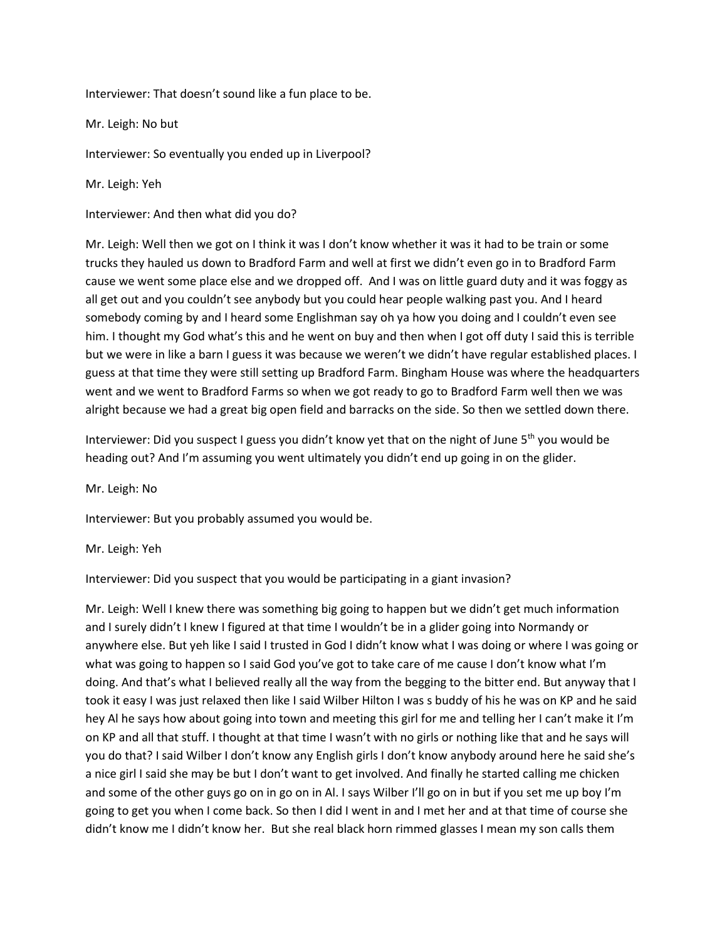Interviewer: That doesn't sound like a fun place to be.

Mr. Leigh: No but

Interviewer: So eventually you ended up in Liverpool?

Mr. Leigh: Yeh

Interviewer: And then what did you do?

Mr. Leigh: Well then we got on I think it was I don't know whether it was it had to be train or some trucks they hauled us down to Bradford Farm and well at first we didn't even go in to Bradford Farm cause we went some place else and we dropped off. And I was on little guard duty and it was foggy as all get out and you couldn't see anybody but you could hear people walking past you. And I heard somebody coming by and I heard some Englishman say oh ya how you doing and I couldn't even see him. I thought my God what's this and he went on buy and then when I got off duty I said this is terrible but we were in like a barn I guess it was because we weren't we didn't have regular established places. I guess at that time they were still setting up Bradford Farm. Bingham House was where the headquarters went and we went to Bradford Farms so when we got ready to go to Bradford Farm well then we was alright because we had a great big open field and barracks on the side. So then we settled down there.

Interviewer: Did you suspect I guess you didn't know yet that on the night of June  $5<sup>th</sup>$  you would be heading out? And I'm assuming you went ultimately you didn't end up going in on the glider.

Mr. Leigh: No

Interviewer: But you probably assumed you would be.

Mr. Leigh: Yeh

Interviewer: Did you suspect that you would be participating in a giant invasion?

Mr. Leigh: Well I knew there was something big going to happen but we didn't get much information and I surely didn't I knew I figured at that time I wouldn't be in a glider going into Normandy or anywhere else. But yeh like I said I trusted in God I didn't know what I was doing or where I was going or what was going to happen so I said God you've got to take care of me cause I don't know what I'm doing. And that's what I believed really all the way from the begging to the bitter end. But anyway that I took it easy I was just relaxed then like I said Wilber Hilton I was s buddy of his he was on KP and he said hey Al he says how about going into town and meeting this girl for me and telling her I can't make it I'm on KP and all that stuff. I thought at that time I wasn't with no girls or nothing like that and he says will you do that? I said Wilber I don't know any English girls I don't know anybody around here he said she's a nice girl I said she may be but I don't want to get involved. And finally he started calling me chicken and some of the other guys go on in go on in Al. I says Wilber I'll go on in but if you set me up boy I'm going to get you when I come back. So then I did I went in and I met her and at that time of course she didn't know me I didn't know her. But she real black horn rimmed glasses I mean my son calls them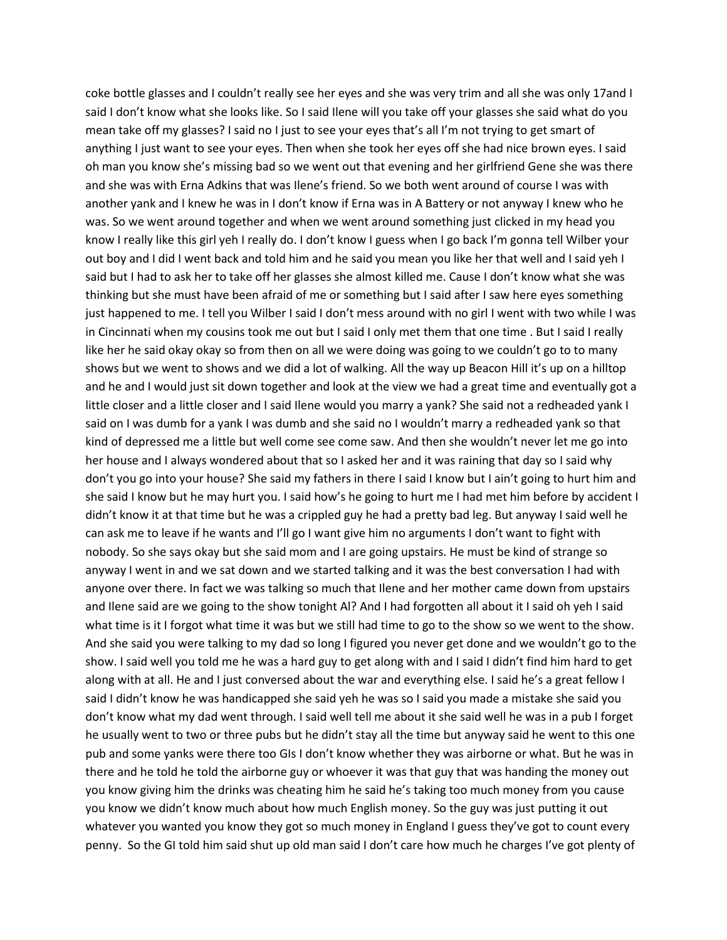coke bottle glasses and I couldn't really see her eyes and she was very trim and all she was only 17and I said I don't know what she looks like. So I said Ilene will you take off your glasses she said what do you mean take off my glasses? I said no I just to see your eyes that's all I'm not trying to get smart of anything I just want to see your eyes. Then when she took her eyes off she had nice brown eyes. I said oh man you know she's missing bad so we went out that evening and her girlfriend Gene she was there and she was with Erna Adkins that was Ilene's friend. So we both went around of course I was with another yank and I knew he was in I don't know if Erna was in A Battery or not anyway I knew who he was. So we went around together and when we went around something just clicked in my head you know I really like this girl yeh I really do. I don't know I guess when I go back I'm gonna tell Wilber your out boy and I did I went back and told him and he said you mean you like her that well and I said yeh I said but I had to ask her to take off her glasses she almost killed me. Cause I don't know what she was thinking but she must have been afraid of me or something but I said after I saw here eyes something just happened to me. I tell you Wilber I said I don't mess around with no girl I went with two while I was in Cincinnati when my cousins took me out but I said I only met them that one time . But I said I really like her he said okay okay so from then on all we were doing was going to we couldn't go to to many shows but we went to shows and we did a lot of walking. All the way up Beacon Hill it's up on a hilltop and he and I would just sit down together and look at the view we had a great time and eventually got a little closer and a little closer and I said Ilene would you marry a yank? She said not a redheaded yank I said on I was dumb for a yank I was dumb and she said no I wouldn't marry a redheaded yank so that kind of depressed me a little but well come see come saw. And then she wouldn't never let me go into her house and I always wondered about that so I asked her and it was raining that day so I said why don't you go into your house? She said my fathers in there I said I know but I ain't going to hurt him and she said I know but he may hurt you. I said how's he going to hurt me I had met him before by accident I didn't know it at that time but he was a crippled guy he had a pretty bad leg. But anyway I said well he can ask me to leave if he wants and I'll go I want give him no arguments I don't want to fight with nobody. So she says okay but she said mom and I are going upstairs. He must be kind of strange so anyway I went in and we sat down and we started talking and it was the best conversation I had with anyone over there. In fact we was talking so much that Ilene and her mother came down from upstairs and Ilene said are we going to the show tonight Al? And I had forgotten all about it I said oh yeh I said what time is it I forgot what time it was but we still had time to go to the show so we went to the show. And she said you were talking to my dad so long I figured you never get done and we wouldn't go to the show. I said well you told me he was a hard guy to get along with and I said I didn't find him hard to get along with at all. He and I just conversed about the war and everything else. I said he's a great fellow I said I didn't know he was handicapped she said yeh he was so I said you made a mistake she said you don't know what my dad went through. I said well tell me about it she said well he was in a pub I forget he usually went to two or three pubs but he didn't stay all the time but anyway said he went to this one pub and some yanks were there too GIs I don't know whether they was airborne or what. But he was in there and he told he told the airborne guy or whoever it was that guy that was handing the money out you know giving him the drinks was cheating him he said he's taking too much money from you cause you know we didn't know much about how much English money. So the guy was just putting it out whatever you wanted you know they got so much money in England I guess they've got to count every penny. So the GI told him said shut up old man said I don't care how much he charges I've got plenty of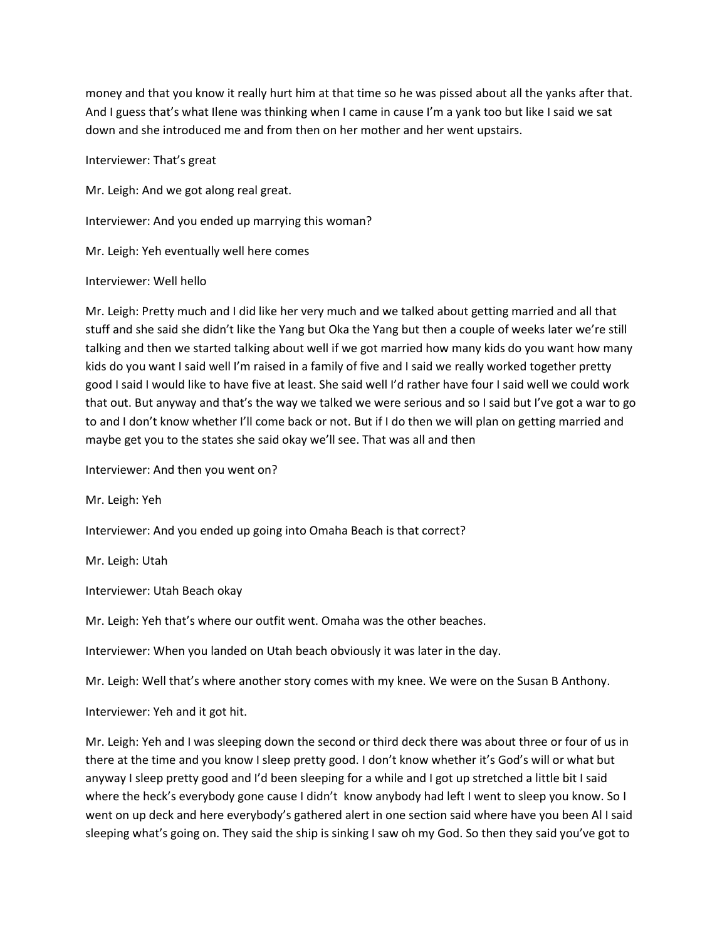money and that you know it really hurt him at that time so he was pissed about all the yanks after that. And I guess that's what Ilene was thinking when I came in cause I'm a yank too but like I said we sat down and she introduced me and from then on her mother and her went upstairs.

Interviewer: That's great

Mr. Leigh: And we got along real great.

Interviewer: And you ended up marrying this woman?

Mr. Leigh: Yeh eventually well here comes

#### Interviewer: Well hello

Mr. Leigh: Pretty much and I did like her very much and we talked about getting married and all that stuff and she said she didn't like the Yang but Oka the Yang but then a couple of weeks later we're still talking and then we started talking about well if we got married how many kids do you want how many kids do you want I said well I'm raised in a family of five and I said we really worked together pretty good I said I would like to have five at least. She said well I'd rather have four I said well we could work that out. But anyway and that's the way we talked we were serious and so I said but I've got a war to go to and I don't know whether I'll come back or not. But if I do then we will plan on getting married and maybe get you to the states she said okay we'll see. That was all and then

Interviewer: And then you went on?

Mr. Leigh: Yeh

Interviewer: And you ended up going into Omaha Beach is that correct?

Mr. Leigh: Utah

Interviewer: Utah Beach okay

Mr. Leigh: Yeh that's where our outfit went. Omaha was the other beaches.

Interviewer: When you landed on Utah beach obviously it was later in the day.

Mr. Leigh: Well that's where another story comes with my knee. We were on the Susan B Anthony.

Interviewer: Yeh and it got hit.

Mr. Leigh: Yeh and I was sleeping down the second or third deck there was about three or four of us in there at the time and you know I sleep pretty good. I don't know whether it's God's will or what but anyway I sleep pretty good and I'd been sleeping for a while and I got up stretched a little bit I said where the heck's everybody gone cause I didn't know anybody had left I went to sleep you know. So I went on up deck and here everybody's gathered alert in one section said where have you been Al I said sleeping what's going on. They said the ship is sinking I saw oh my God. So then they said you've got to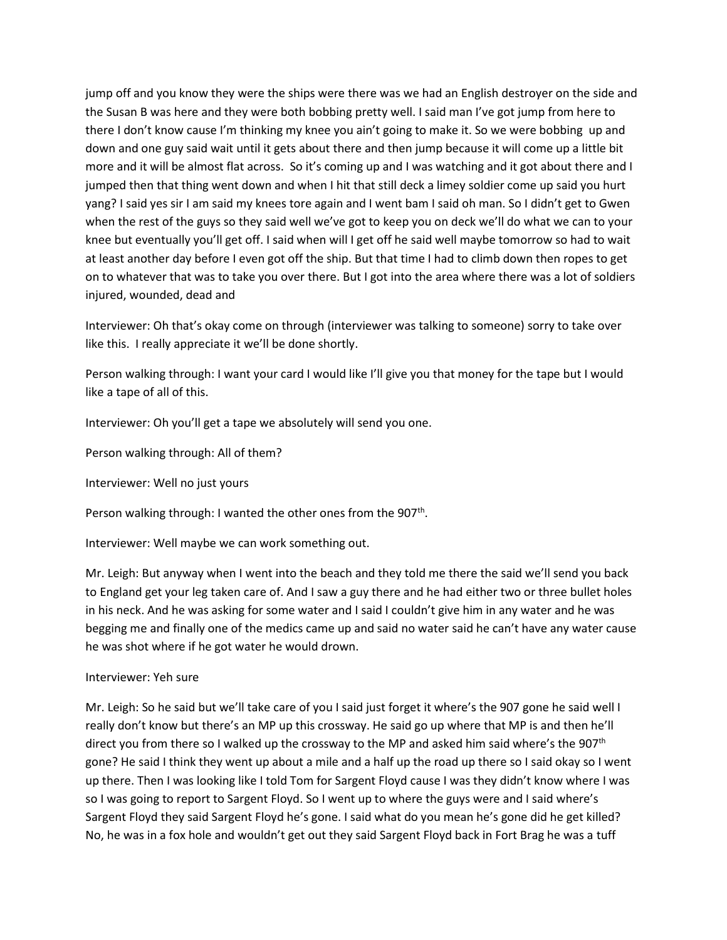jump off and you know they were the ships were there was we had an English destroyer on the side and the Susan B was here and they were both bobbing pretty well. I said man I've got jump from here to there I don't know cause I'm thinking my knee you ain't going to make it. So we were bobbing up and down and one guy said wait until it gets about there and then jump because it will come up a little bit more and it will be almost flat across. So it's coming up and I was watching and it got about there and I jumped then that thing went down and when I hit that still deck a limey soldier come up said you hurt yang? I said yes sir I am said my knees tore again and I went bam I said oh man. So I didn't get to Gwen when the rest of the guys so they said well we've got to keep you on deck we'll do what we can to your knee but eventually you'll get off. I said when will I get off he said well maybe tomorrow so had to wait at least another day before I even got off the ship. But that time I had to climb down then ropes to get on to whatever that was to take you over there. But I got into the area where there was a lot of soldiers injured, wounded, dead and

Interviewer: Oh that's okay come on through (interviewer was talking to someone) sorry to take over like this. I really appreciate it we'll be done shortly.

Person walking through: I want your card I would like I'll give you that money for the tape but I would like a tape of all of this.

Interviewer: Oh you'll get a tape we absolutely will send you one.

Person walking through: All of them?

Interviewer: Well no just yours

Person walking through: I wanted the other ones from the 907<sup>th</sup>.

Interviewer: Well maybe we can work something out.

Mr. Leigh: But anyway when I went into the beach and they told me there the said we'll send you back to England get your leg taken care of. And I saw a guy there and he had either two or three bullet holes in his neck. And he was asking for some water and I said I couldn't give him in any water and he was begging me and finally one of the medics came up and said no water said he can't have any water cause he was shot where if he got water he would drown.

#### Interviewer: Yeh sure

Mr. Leigh: So he said but we'll take care of you I said just forget it where's the 907 gone he said well I really don't know but there's an MP up this crossway. He said go up where that MP is and then he'll direct you from there so I walked up the crossway to the MP and asked him said where's the 907<sup>th</sup> gone? He said I think they went up about a mile and a half up the road up there so I said okay so I went up there. Then I was looking like I told Tom for Sargent Floyd cause I was they didn't know where I was so I was going to report to Sargent Floyd. So I went up to where the guys were and I said where's Sargent Floyd they said Sargent Floyd he's gone. I said what do you mean he's gone did he get killed? No, he was in a fox hole and wouldn't get out they said Sargent Floyd back in Fort Brag he was a tuff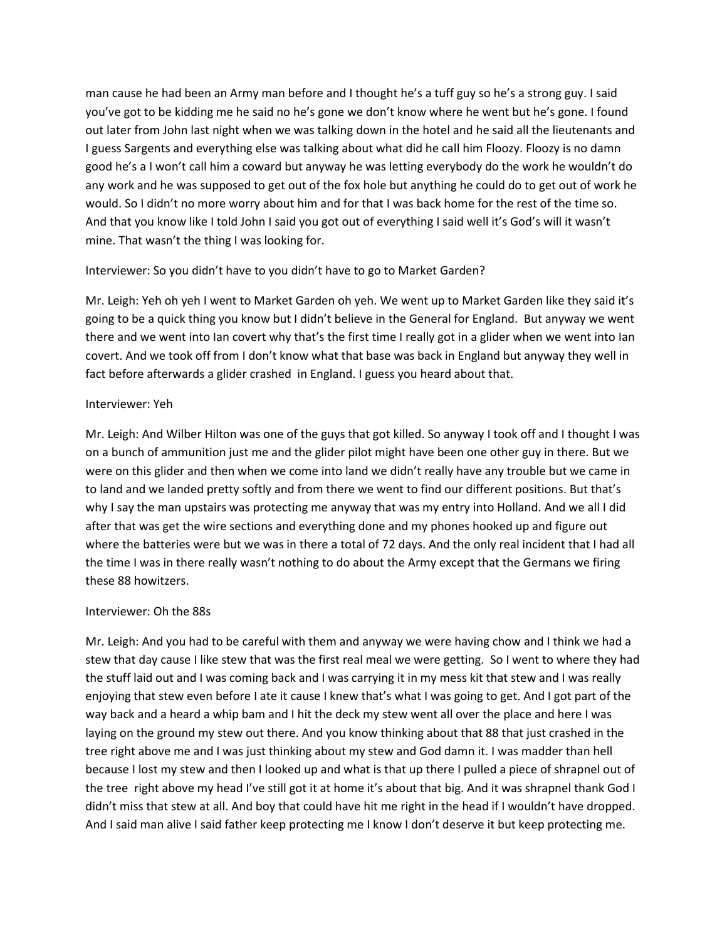man cause he had been an Army man before and I thought he's a tuff guy so he's a strong guy. I said you've got to be kidding me he said no he's gone we don't know where he went but he's gone. I found out later from John last night when we was talking down in the hotel and he said all the lieutenants and I guess Sargents and everything else was talking about what did he call him Floozy. Floozy is no damn good he's a I won't call him a coward but anyway he was letting everybody do the work he wouldn't do any work and he was supposed to get out of the fox hole but anything he could do to get out of work he would. So I didn't no more worry about him and for that I was back home for the rest of the time so. And that you know like I told John I said you got out of everything I said well it's God's will it wasn't mine. That wasn't the thing I was looking for.

## Interviewer: So you didn't have to you didn't have to go to Market Garden?

Mr. Leigh: Yeh oh yeh I went to Market Garden oh yeh. We went up to Market Garden like they said it's going to be a quick thing you know but I didn't believe in the General for England. But anyway we went there and we went into Ian covert why that's the first time I really got in a glider when we went into Ian covert. And we took off from I don't know what that base was back in England but anyway they well in fact before afterwards a glider crashed in England. I guess you heard about that.

### Interviewer: Yeh

Mr. Leigh: And Wilber Hilton was one of the guys that got killed. So anyway I took off and I thought I was on a bunch of ammunition just me and the glider pilot might have been one other guy in there. But we were on this glider and then when we come into land we didn't really have any trouble but we came in to land and we landed pretty softly and from there we went to find our different positions. But that's why I say the man upstairs was protecting me anyway that was my entry into Holland. And we all I did after that was get the wire sections and everything done and my phones hooked up and figure out where the batteries were but we was in there a total of 72 days. And the only real incident that I had all the time I was in there really wasn't nothing to do about the Army except that the Germans we firing these 88 howitzers.

### Interviewer: Oh the 88s

Mr. Leigh: And you had to be careful with them and anyway we were having chow and I think we had a stew that day cause I like stew that was the first real meal we were getting. So I went to where they had the stuff laid out and I was coming back and I was carrying it in my mess kit that stew and I was really enjoying that stew even before I ate it cause I knew that's what I was going to get. And I got part of the way back and a heard a whip bam and I hit the deck my stew went all over the place and here I was laying on the ground my stew out there. And you know thinking about that 88 that just crashed in the tree right above me and I was just thinking about my stew and God damn it. I was madder than hell because I lost my stew and then I looked up and what is that up there I pulled a piece of shrapnel out of the tree right above my head I've still got it at home it's about that big. And it was shrapnel thank God I didn't miss that stew at all. And boy that could have hit me right in the head if I wouldn't have dropped. And I said man alive I said father keep protecting me I know I don't deserve it but keep protecting me.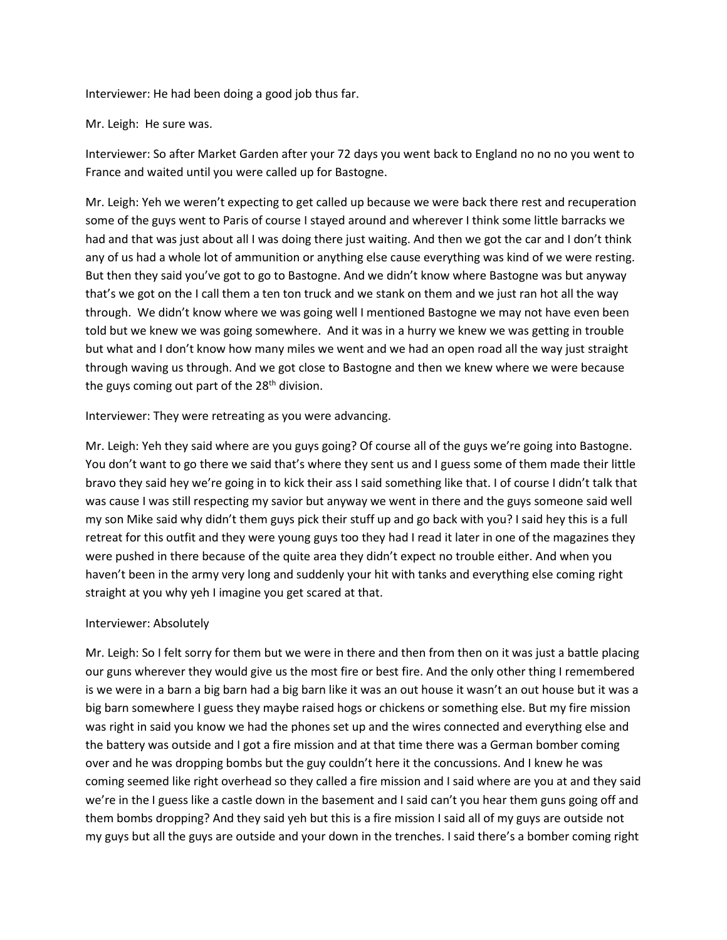Interviewer: He had been doing a good job thus far.

Mr. Leigh: He sure was.

Interviewer: So after Market Garden after your 72 days you went back to England no no no you went to France and waited until you were called up for Bastogne.

Mr. Leigh: Yeh we weren't expecting to get called up because we were back there rest and recuperation some of the guys went to Paris of course I stayed around and wherever I think some little barracks we had and that was just about all I was doing there just waiting. And then we got the car and I don't think any of us had a whole lot of ammunition or anything else cause everything was kind of we were resting. But then they said you've got to go to Bastogne. And we didn't know where Bastogne was but anyway that's we got on the I call them a ten ton truck and we stank on them and we just ran hot all the way through. We didn't know where we was going well I mentioned Bastogne we may not have even been told but we knew we was going somewhere. And it was in a hurry we knew we was getting in trouble but what and I don't know how many miles we went and we had an open road all the way just straight through waving us through. And we got close to Bastogne and then we knew where we were because the guys coming out part of the  $28<sup>th</sup>$  division.

Interviewer: They were retreating as you were advancing.

Mr. Leigh: Yeh they said where are you guys going? Of course all of the guys we're going into Bastogne. You don't want to go there we said that's where they sent us and I guess some of them made their little bravo they said hey we're going in to kick their ass I said something like that. I of course I didn't talk that was cause I was still respecting my savior but anyway we went in there and the guys someone said well my son Mike said why didn't them guys pick their stuff up and go back with you? I said hey this is a full retreat for this outfit and they were young guys too they had I read it later in one of the magazines they were pushed in there because of the quite area they didn't expect no trouble either. And when you haven't been in the army very long and suddenly your hit with tanks and everything else coming right straight at you why yeh I imagine you get scared at that.

### Interviewer: Absolutely

Mr. Leigh: So I felt sorry for them but we were in there and then from then on it was just a battle placing our guns wherever they would give us the most fire or best fire. And the only other thing I remembered is we were in a barn a big barn had a big barn like it was an out house it wasn't an out house but it was a big barn somewhere I guess they maybe raised hogs or chickens or something else. But my fire mission was right in said you know we had the phones set up and the wires connected and everything else and the battery was outside and I got a fire mission and at that time there was a German bomber coming over and he was dropping bombs but the guy couldn't here it the concussions. And I knew he was coming seemed like right overhead so they called a fire mission and I said where are you at and they said we're in the I guess like a castle down in the basement and I said can't you hear them guns going off and them bombs dropping? And they said yeh but this is a fire mission I said all of my guys are outside not my guys but all the guys are outside and your down in the trenches. I said there's a bomber coming right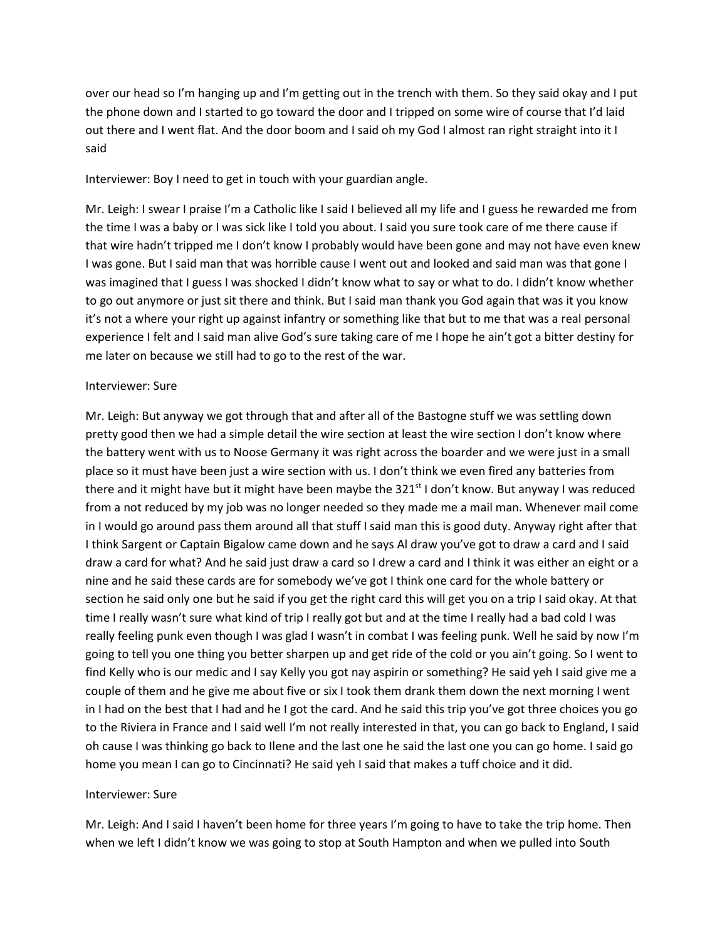over our head so I'm hanging up and I'm getting out in the trench with them. So they said okay and I put the phone down and I started to go toward the door and I tripped on some wire of course that I'd laid out there and I went flat. And the door boom and I said oh my God I almost ran right straight into it I said

#### Interviewer: Boy I need to get in touch with your guardian angle.

Mr. Leigh: I swear I praise I'm a Catholic like I said I believed all my life and I guess he rewarded me from the time I was a baby or I was sick like I told you about. I said you sure took care of me there cause if that wire hadn't tripped me I don't know I probably would have been gone and may not have even knew I was gone. But I said man that was horrible cause I went out and looked and said man was that gone I was imagined that I guess I was shocked I didn't know what to say or what to do. I didn't know whether to go out anymore or just sit there and think. But I said man thank you God again that was it you know it's not a where your right up against infantry or something like that but to me that was a real personal experience I felt and I said man alive God's sure taking care of me I hope he ain't got a bitter destiny for me later on because we still had to go to the rest of the war.

#### Interviewer: Sure

Mr. Leigh: But anyway we got through that and after all of the Bastogne stuff we was settling down pretty good then we had a simple detail the wire section at least the wire section I don't know where the battery went with us to Noose Germany it was right across the boarder and we were just in a small place so it must have been just a wire section with us. I don't think we even fired any batteries from there and it might have but it might have been maybe the 321<sup>st</sup> I don't know. But anyway I was reduced from a not reduced by my job was no longer needed so they made me a mail man. Whenever mail come in I would go around pass them around all that stuff I said man this is good duty. Anyway right after that I think Sargent or Captain Bigalow came down and he says Al draw you've got to draw a card and I said draw a card for what? And he said just draw a card so I drew a card and I think it was either an eight or a nine and he said these cards are for somebody we've got I think one card for the whole battery or section he said only one but he said if you get the right card this will get you on a trip I said okay. At that time I really wasn't sure what kind of trip I really got but and at the time I really had a bad cold I was really feeling punk even though I was glad I wasn't in combat I was feeling punk. Well he said by now I'm going to tell you one thing you better sharpen up and get ride of the cold or you ain't going. So I went to find Kelly who is our medic and I say Kelly you got nay aspirin or something? He said yeh I said give me a couple of them and he give me about five or six I took them drank them down the next morning I went in I had on the best that I had and he I got the card. And he said this trip you've got three choices you go to the Riviera in France and I said well I'm not really interested in that, you can go back to England, I said oh cause I was thinking go back to Ilene and the last one he said the last one you can go home. I said go home you mean I can go to Cincinnati? He said yeh I said that makes a tuff choice and it did.

#### Interviewer: Sure

Mr. Leigh: And I said I haven't been home for three years I'm going to have to take the trip home. Then when we left I didn't know we was going to stop at South Hampton and when we pulled into South